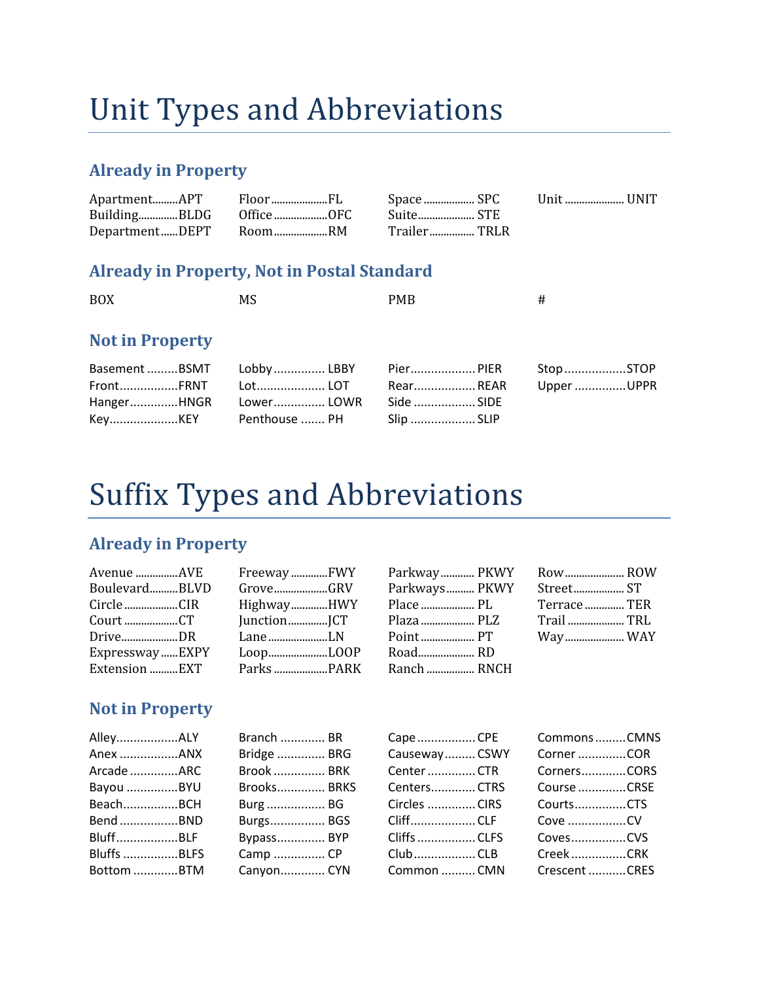# Unit Types and Abbreviations

### **Already in Property**

|  |                        | Space  SPC         | Unit  UNIT |  |
|--|------------------------|--------------------|------------|--|
|  | BuildingBLDG OfficeOFC | Suite STE          |            |  |
|  | DepartmentDEPT RoomRM  | Trailer……………… TRLR |            |  |

### **Already in Property, Not in Postal Standard**

| <b>BOX</b>                                         | MS                                                    | <b>PMB</b>                                        | #                       |
|----------------------------------------------------|-------------------------------------------------------|---------------------------------------------------|-------------------------|
| <b>Not in Property</b>                             |                                                       |                                                   |                         |
| Basement BSMT<br>FrontFRNT<br>HangerHNGR<br>KeyKEY | Lobby  LBBY<br>Lot LOT<br>Lower LOWR<br>Penthouse  PH | Pier PIER<br>RearREAR<br>Side  SIDE<br>Slip  SLIP | Stop STOP<br>Upper UPPR |

## Suffix Types and Abbreviations

### **Already in Property**

| Avenue AVE     | FreewayFWY  | Parkw  |
|----------------|-------------|--------|
| BoulevardBLVD  | GroveGRV    | Parkw  |
| Circle CIR     | HighwayHWY  | Place. |
|                | JunctionJCT | Plaza. |
| DriveDR        | LaneLN      | Point. |
| ExpresswayEXPY | LoopLOOP    | Road   |
| Extension EXT  |             | Ranch  |
|                |             |        |

|             | Parkway PKWY Row ROW     |  |
|-------------|--------------------------|--|
|             | Parkways PKWY Street ST  |  |
|             |                          |  |
|             | Plaza  PLZ    Trail  TRL |  |
| Point  PT   | Way WAY                  |  |
| Road RD     |                          |  |
| Ranch  RNCH |                          |  |

### **Not in Property**

| AlleyALY           | Branch       |
|--------------------|--------------|
| Anex ANX           | Bridge       |
| Arcade ARC         | Brook        |
| Bayou BYU          | Brooks       |
| BeachBCH           | <b>Burg </b> |
| Bend BND           | Burgs        |
| BluffBLF           | Bypass       |
| <b>Bluffs BLFS</b> | Camp         |
| Bottom BTM         | Canyon       |
|                    |              |

| Branch  BR        | Cape   |
|-------------------|--------|
| Bridge  BRG       | Caus   |
| <b>Brook  BRK</b> | Cent   |
| Brooks BRKS       | Cent   |
| Burg  BG          | Circle |
| Burgs BGS         | Cliff. |
| Bypass BYP        | Cliffs |
| Camp  CP          | Club.  |
| Canyon CYN        | Com    |

| Cape  CPE           | Con  |
|---------------------|------|
| Causeway CSWY       | Cor  |
| Center  CTR         | Cor  |
| Centers CTRS        | Cou  |
| Circles CIRS        | Cou  |
| CliffCLF            | Cov  |
| <b>Cliffs  CLFS</b> | Cov  |
| ClubCLB             | Cre  |
| Common  CMN         | Cre: |

| CommonsCMNS   |  |
|---------------|--|
| Corner COR    |  |
| CornersCORS   |  |
| Course CRSF   |  |
| CourtsCTS     |  |
|               |  |
| CovesCVS      |  |
| CreekCRK      |  |
| Crescent CRES |  |